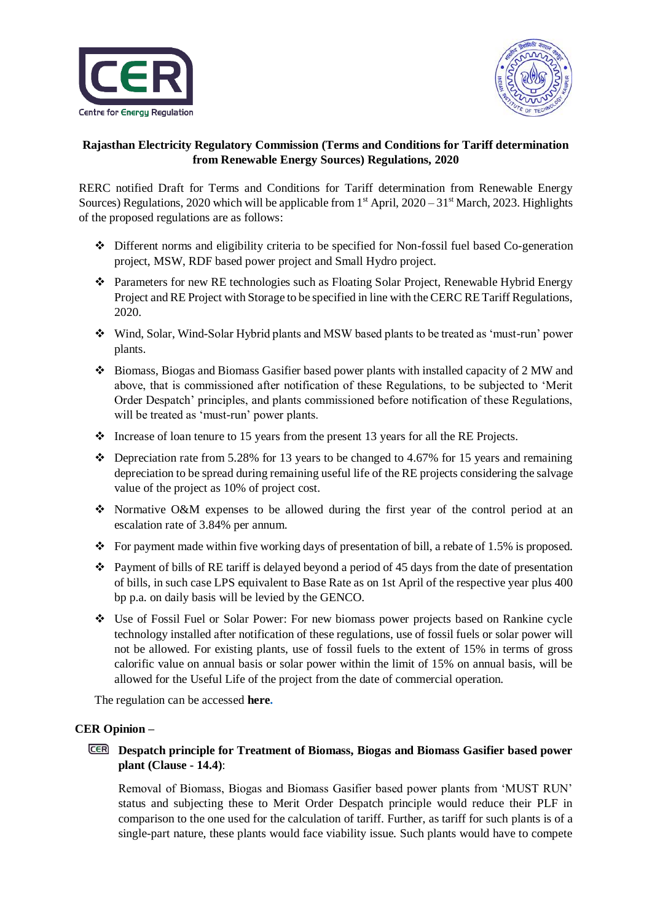



# **Rajasthan Electricity Regulatory Commission (Terms and Conditions for Tariff determination from Renewable Energy Sources) Regulations, 2020**

RERC notified Draft for Terms and Conditions for Tariff determination from Renewable Energy Sources) Regulations, 2020 which will be applicable from  $1<sup>st</sup>$  April, 2020 – 31<sup>st</sup> March, 2023. Highlights of the proposed regulations are as follows:

- Different norms and eligibility criteria to be specified for Non-fossil fuel based Co-generation project, MSW, RDF based power project and Small Hydro project.
- Parameters for new RE technologies such as Floating Solar Project, Renewable Hybrid Energy Project and RE Project with Storage to be specified in line with the CERC RE Tariff Regulations, 2020.
- Wind, Solar, Wind-Solar Hybrid plants and MSW based plants to be treated as 'must-run' power plants.
- Biomass, Biogas and Biomass Gasifier based power plants with installed capacity of 2 MW and above, that is commissioned after notification of these Regulations, to be subjected to 'Merit Order Despatch' principles, and plants commissioned before notification of these Regulations, will be treated as 'must-run' power plants.
- $\cdot \cdot$  Increase of loan tenure to 15 years from the present 13 years for all the RE Projects.
- $\bullet$  Depreciation rate from 5.28% for 13 years to be changed to 4.67% for 15 years and remaining depreciation to be spread during remaining useful life of the RE projects considering the salvage value of the project as 10% of project cost.
- $\div$  Normative O&M expenses to be allowed during the first year of the control period at an escalation rate of 3.84% per annum.
- For payment made within five working days of presentation of bill, a rebate of 1.5% is proposed.
- $\bullet$  Payment of bills of RE tariff is delayed beyond a period of 45 days from the date of presentation of bills, in such case LPS equivalent to Base Rate as on 1st April of the respective year plus 400 bp p.a. on daily basis will be levied by the GENCO.
- Use of Fossil Fuel or Solar Power: For new biomass power projects based on Rankine cycle technology installed after notification of these regulations, use of fossil fuels or solar power will not be allowed. For existing plants, use of fossil fuels to the extent of 15% in terms of gross calorific value on annual basis or solar power within the limit of 15% on annual basis, will be allowed for the Useful Life of the project from the date of commercial operation.

The regulation can be accessed **here.**

## **CER Opinion –**

# **Despatch principle for Treatment of Biomass, Biogas and Biomass Gasifier based power plant (Clause - 14.4)**:

Removal of Biomass, Biogas and Biomass Gasifier based power plants from 'MUST RUN' status and subjecting these to Merit Order Despatch principle would reduce their PLF in comparison to the one used for the calculation of tariff. Further, as tariff for such plants is of a single-part nature, these plants would face viability issue. Such plants would have to compete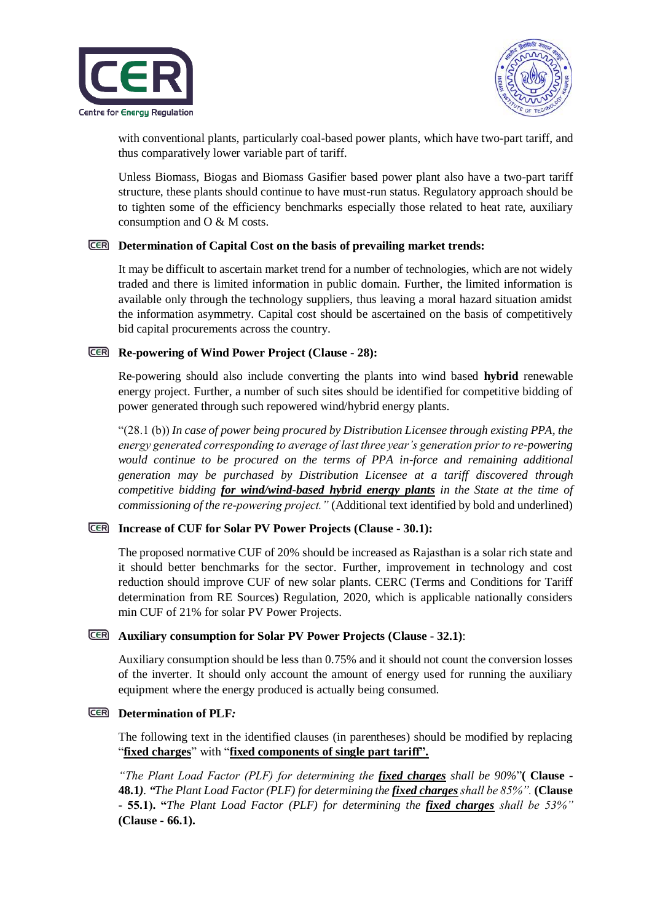



with conventional plants, particularly coal-based power plants, which have two-part tariff, and thus comparatively lower variable part of tariff.

Unless Biomass, Biogas and Biomass Gasifier based power plant also have a two-part tariff structure, these plants should continue to have must-run status. Regulatory approach should be to tighten some of the efficiency benchmarks especially those related to heat rate, auxiliary consumption and O & M costs.

#### **Determination of Capital Cost on the basis of prevailing market trends:**

It may be difficult to ascertain market trend for a number of technologies, which are not widely traded and there is limited information in public domain. Further, the limited information is available only through the technology suppliers, thus leaving a moral hazard situation amidst the information asymmetry. Capital cost should be ascertained on the basis of competitively bid capital procurements across the country.

### **Re-powering of Wind Power Project (Clause - 28):**

Re-powering should also include converting the plants into wind based **hybrid** renewable energy project. Further, a number of such sites should be identified for competitive bidding of power generated through such repowered wind/hybrid energy plants.

"(28.1 (b)) *In case of power being procured by Distribution Licensee through existing PPA, the energy generated corresponding to average of last three year's generation prior to re-powering*  would continue to be procured on the terms of PPA in-force and remaining additional *generation may be purchased by Distribution Licensee at a tariff discovered through competitive bidding for wind/wind-based hybrid energy plants in the State at the time of commissioning of the re-powering project."* (Additional text identified by bold and underlined)

## **Increase of CUF for Solar PV Power Projects (Clause - 30.1):**

The proposed normative CUF of 20% should be increased as Rajasthan is a solar rich state and it should better benchmarks for the sector. Further, improvement in technology and cost reduction should improve CUF of new solar plants. CERC (Terms and Conditions for Tariff determination from RE Sources) Regulation, 2020, which is applicable nationally considers min CUF of 21% for solar PV Power Projects.

## **Auxiliary consumption for Solar PV Power Projects (Clause - 32.1)**:

Auxiliary consumption should be less than 0.75% and it should not count the conversion losses of the inverter. It should only account the amount of energy used for running the auxiliary equipment where the energy produced is actually being consumed.

### **Determination of PLF***:*

The following text in the identified clauses (in parentheses) should be modified by replacing "**fixed charges**" with "**fixed components of single part tariff".**

*"The Plant Load Factor (PLF) for determining the fixed charges shall be 90%*"**( Clause - 48.1***). "The Plant Load Factor (PLF) for determining the fixed charges shall be 85%".* **(Clause - 55.1). "***The Plant Load Factor (PLF) for determining the fixed charges shall be 53%"* **(Clause - 66.1).**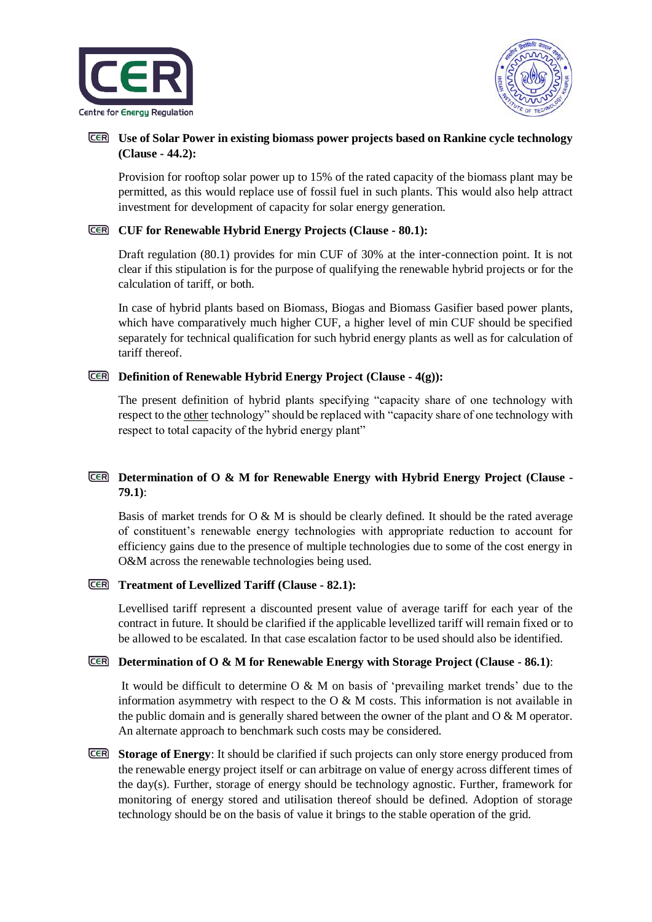



## **Use of Solar Power in existing biomass power projects based on Rankine cycle technology (Clause - 44.2):**

Provision for rooftop solar power up to 15% of the rated capacity of the biomass plant may be permitted, as this would replace use of fossil fuel in such plants. This would also help attract investment for development of capacity for solar energy generation.

#### **CUF for Renewable Hybrid Energy Projects (Clause - 80.1):**

Draft regulation (80.1) provides for min CUF of 30% at the inter-connection point. It is not clear if this stipulation is for the purpose of qualifying the renewable hybrid projects or for the calculation of tariff, or both.

In case of hybrid plants based on Biomass, Biogas and Biomass Gasifier based power plants, which have comparatively much higher CUF, a higher level of min CUF should be specified separately for technical qualification for such hybrid energy plants as well as for calculation of tariff thereof.

## **Definition of Renewable Hybrid Energy Project (Clause - 4(g)):**

The present definition of hybrid plants specifying "capacity share of one technology with respect to the other technology" should be replaced with "capacity share of one technology with respect to total capacity of the hybrid energy plant"

# **Determination of O & M for Renewable Energy with Hybrid Energy Project (Clause - 79.1)**:

Basis of market trends for  $O \& M$  is should be clearly defined. It should be the rated average of constituent's renewable energy technologies with appropriate reduction to account for efficiency gains due to the presence of multiple technologies due to some of the cost energy in O&M across the renewable technologies being used.

## **Treatment of Levellized Tariff (Clause - 82.1):**

Levellised tariff represent a discounted present value of average tariff for each year of the contract in future. It should be clarified if the applicable levellized tariff will remain fixed or to be allowed to be escalated. In that case escalation factor to be used should also be identified.

## **Determination of O & M for Renewable Energy with Storage Project (Clause - 86.1)**:

It would be difficult to determine O & M on basis of 'prevailing market trends' due to the information asymmetry with respect to the  $O \& M$  costs. This information is not available in the public domain and is generally shared between the owner of the plant and  $\overline{O} \& M$  operator. An alternate approach to benchmark such costs may be considered.

**Storage of Energy**: It should be clarified if such projects can only store energy produced from the renewable energy project itself or can arbitrage on value of energy across different times of the day(s). Further, storage of energy should be technology agnostic. Further, framework for monitoring of energy stored and utilisation thereof should be defined. Adoption of storage technology should be on the basis of value it brings to the stable operation of the grid.